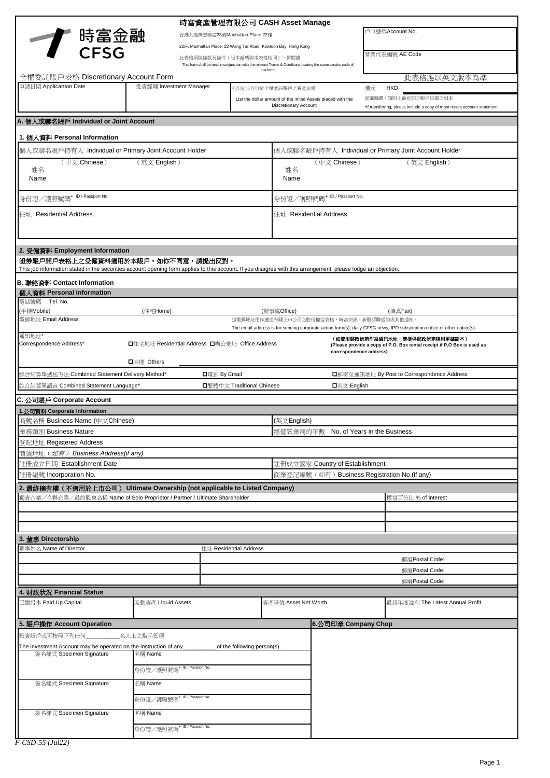|                                                                                                                                                               | 時富資產管理有限公司 CASH Asset Manage                                                                                                                                                          |                                                                                                                                                          |                                                       |                                                              |    |                                                                                                                         |  |
|---------------------------------------------------------------------------------------------------------------------------------------------------------------|---------------------------------------------------------------------------------------------------------------------------------------------------------------------------------------|----------------------------------------------------------------------------------------------------------------------------------------------------------|-------------------------------------------------------|--------------------------------------------------------------|----|-------------------------------------------------------------------------------------------------------------------------|--|
|                                                                                                                                                               | 香港九龍灣宏泰道23號Manhattan Place 22樓<br>22/F, Manhattan Place, 23 Wang Tai Road, Kowloon Bay, Hong Kong                                                                                     |                                                                                                                                                          |                                                       | 戶口號碼Account No.                                              |    |                                                                                                                         |  |
| <b>← 時富金融</b><br>● CFSG                                                                                                                                       |                                                                                                                                                                                       |                                                                                                                                                          |                                                       |                                                              |    |                                                                                                                         |  |
|                                                                                                                                                               |                                                                                                                                                                                       | 此表格須與條款及條件(版本編碼與本表格相同)一併閱讀<br>This form shall be read in conjunction with the relevant Terms & Conditions bearing the same version code of<br>this form. |                                                       |                                                              |    | 營業代表編號 AE Code                                                                                                          |  |
| 全權委託賬戶表格 Discretionary Account Form                                                                                                                           |                                                                                                                                                                                       |                                                                                                                                                          |                                                       |                                                              |    | 此表格應以英文版本為準                                                                                                             |  |
| 申請日期 Applicartion Date                                                                                                                                        | 投資經理 Investment Manager                                                                                                                                                               | 列出初步存放於全權委託賬戶之資產金額                                                                                                                                       |                                                       |                                                              | 港元 | <b>HKD</b>                                                                                                              |  |
|                                                                                                                                                               |                                                                                                                                                                                       |                                                                                                                                                          | <b>Discretionary Account</b>                          | List the dollar amount of the initial Assets placed with the |    | 倘屬轉讓,請附上最近期之賬戶結單之副本<br>*If transferring, please include a copy of most recent account statement                         |  |
| A. 個人或聯名賬戶 Individual or Joint Account                                                                                                                        |                                                                                                                                                                                       |                                                                                                                                                          |                                                       |                                                              |    |                                                                                                                         |  |
| 1. 個人資料 Personal Information                                                                                                                                  |                                                                                                                                                                                       |                                                                                                                                                          |                                                       |                                                              |    |                                                                                                                         |  |
| 個人或聯名賬戶持有人 Individual or Primary Joint Account Holder                                                                                                         |                                                                                                                                                                                       |                                                                                                                                                          | 個人或聯名賬戶持有人 Individual or Primary Joint Account Holder |                                                              |    |                                                                                                                         |  |
| (中文 Chinese)<br>(英文 English)<br>姓名<br>Name                                                                                                                    |                                                                                                                                                                                       |                                                                                                                                                          | (中文 Chinese)<br>(英文 English)<br>姓名<br>Name            |                                                              |    |                                                                                                                         |  |
| 身份證/護照號碼+ ID / Passport No.                                                                                                                                   |                                                                                                                                                                                       |                                                                                                                                                          | 身份證/護照號碼+ ID / Passport No.                           |                                                              |    |                                                                                                                         |  |
| 住址 Residential Address                                                                                                                                        |                                                                                                                                                                                       |                                                                                                                                                          | 住址 Residential Address                                |                                                              |    |                                                                                                                         |  |
| 2. 受僱資料 Employment Information                                                                                                                                |                                                                                                                                                                                       |                                                                                                                                                          |                                                       |                                                              |    |                                                                                                                         |  |
| 證券賬戶開戶表格上之受僱資料適用於本賬戶。如你不同意,請提出反對。                                                                                                                             |                                                                                                                                                                                       |                                                                                                                                                          |                                                       |                                                              |    |                                                                                                                         |  |
| This job information stated in the securities account opening form applies to this account. If you disagree with this arrangement, please lodge an objection. |                                                                                                                                                                                       |                                                                                                                                                          |                                                       |                                                              |    |                                                                                                                         |  |
| B. 聯絡資料 Contact Information                                                                                                                                   |                                                                                                                                                                                       |                                                                                                                                                          |                                                       |                                                              |    |                                                                                                                         |  |
| 個人資料 Personal Information<br>電話號碼 Tel. No.                                                                                                                    |                                                                                                                                                                                       |                                                                                                                                                          |                                                       |                                                              |    |                                                                                                                         |  |
| (手機Mobile)                                                                                                                                                    | (住宅Home)                                                                                                                                                                              |                                                                                                                                                          | (辦事處Office)                                           |                                                              |    | (傳真Fax)                                                                                                                 |  |
| 電郵地址 Email Address                                                                                                                                            |                                                                                                                                                                                       |                                                                                                                                                          |                                                       | 這電郵地址用作遞送有關上市公司之股份權益表格、時富快訊、新股認購通知或其他通知                      |    | The email address is for sending corporate action form(s), daily CFSG news, IPO subscription notice or other notice(s). |  |
| 通訊地址*<br>Correspondence Address*                                                                                                                              | (如使用郵政信箱作爲通訊地址,請提供郵政信箱租用單據副本)<br>□住宅地址 Residential Address □辦公地址 Office Address<br>(Please provide a copy of P.O. Box rental receipt if P.O Box is used as<br>correspondence address) |                                                                                                                                                          |                                                       |                                                              |    |                                                                                                                         |  |
| 綜合結算單遞送方法 Combined Statement Delivery Method*                                                                                                                 | <b>□</b> 其他 Others<br><b>□</b> 電郵 By Email                                                                                                                                            |                                                                                                                                                          |                                                       |                                                              |    | ■郵寄至通訊地址 By Post to Correspondence Address                                                                              |  |
| 綜合結算單語言 Combined Statement Language*                                                                                                                          |                                                                                                                                                                                       | □繁體中文 Traditional Chinese                                                                                                                                | ■英文 English                                           |                                                              |    |                                                                                                                         |  |
|                                                                                                                                                               |                                                                                                                                                                                       |                                                                                                                                                          |                                                       |                                                              |    |                                                                                                                         |  |
| C. 公司賬戶 Corporate Account<br>1.公司資料 Corporate Information                                                                                                     |                                                                                                                                                                                       |                                                                                                                                                          |                                                       |                                                              |    |                                                                                                                         |  |
| 商號名稱 Business Name (中文Chinese)                                                                                                                                |                                                                                                                                                                                       |                                                                                                                                                          | (英文 <b>English)</b>                                   |                                                              |    |                                                                                                                         |  |
| 業務類別 Business Nature                                                                                                                                          |                                                                                                                                                                                       |                                                                                                                                                          |                                                       | 經營該業務的年數 No. of Years in the Business                        |    |                                                                                                                         |  |
| 登記地址 Registered Address                                                                                                                                       |                                                                                                                                                                                       |                                                                                                                                                          |                                                       |                                                              |    |                                                                                                                         |  |
| 商號地址 (如有) Business Address(if any)                                                                                                                            |                                                                                                                                                                                       |                                                                                                                                                          |                                                       |                                                              |    |                                                                                                                         |  |
| 註冊成立日期 Establishment Date                                                                                                                                     |                                                                                                                                                                                       |                                                                                                                                                          |                                                       | 註冊成立國家 Country of Establishment                              |    |                                                                                                                         |  |
| 註冊編號 Incorporation No.                                                                                                                                        |                                                                                                                                                                                       |                                                                                                                                                          |                                                       | 商業登記編號 (如有) Business Registration No. (if any)               |    |                                                                                                                         |  |
| 2. 最終擁有權(不適用於上市公司) Ultimate Ownership (not applicable to Listed Company)                                                                                      |                                                                                                                                                                                       |                                                                                                                                                          |                                                       |                                                              |    |                                                                                                                         |  |
| 獨資企業/合夥企業/最終股東名稱 Name of Sole Proprietor / Partner / Ultimate Shareholder                                                                                     |                                                                                                                                                                                       |                                                                                                                                                          |                                                       |                                                              |    | 權益百分比 % of Interest                                                                                                     |  |
|                                                                                                                                                               |                                                                                                                                                                                       |                                                                                                                                                          |                                                       |                                                              |    |                                                                                                                         |  |
|                                                                                                                                                               |                                                                                                                                                                                       |                                                                                                                                                          |                                                       |                                                              |    |                                                                                                                         |  |
| 3. 董事 Directorship                                                                                                                                            |                                                                                                                                                                                       |                                                                                                                                                          |                                                       |                                                              |    |                                                                                                                         |  |
| 董事姓名 Name of Director                                                                                                                                         |                                                                                                                                                                                       | 住址 Residential Address                                                                                                                                   |                                                       |                                                              |    |                                                                                                                         |  |
|                                                                                                                                                               |                                                                                                                                                                                       |                                                                                                                                                          |                                                       |                                                              |    | 郵編Postal Code:                                                                                                          |  |
|                                                                                                                                                               |                                                                                                                                                                                       |                                                                                                                                                          |                                                       |                                                              |    | 郵編Postal Code:                                                                                                          |  |
|                                                                                                                                                               |                                                                                                                                                                                       |                                                                                                                                                          |                                                       |                                                              |    | 郵編Postal Code:                                                                                                          |  |
| 4. 財政狀況 Financial Status<br>已繳股本 Paid Up Capital                                                                                                              | 流動資產 Liquid Assets                                                                                                                                                                    |                                                                                                                                                          | 資產淨值 Asset Net Worth                                  |                                                              |    | 最新年度溢利 The Latest Annual Profit                                                                                         |  |
|                                                                                                                                                               |                                                                                                                                                                                       |                                                                                                                                                          |                                                       |                                                              |    |                                                                                                                         |  |
| 5. 賬戶操作 Account Operation                                                                                                                                     |                                                                                                                                                                                       |                                                                                                                                                          |                                                       | 6.公司印章 Company Chop                                          |    |                                                                                                                         |  |
| 投資賬戶或可按照下列任何                                                                                                                                                  | 名人士之指示管理                                                                                                                                                                              |                                                                                                                                                          |                                                       |                                                              |    |                                                                                                                         |  |
| The investment Account may be operated on the instruction of any<br>of the following person(s).<br>簽名樣式 Specimen Signature<br>名稱 Name                         |                                                                                                                                                                                       |                                                                                                                                                          |                                                       |                                                              |    |                                                                                                                         |  |
|                                                                                                                                                               |                                                                                                                                                                                       |                                                                                                                                                          |                                                       |                                                              |    |                                                                                                                         |  |
|                                                                                                                                                               | 身份證/護照號碼 <sup>+ ID/Passport No.</sup>                                                                                                                                                 |                                                                                                                                                          |                                                       |                                                              |    |                                                                                                                         |  |
| 簽名樣式 Specimen Signature                                                                                                                                       | 名稱 Name                                                                                                                                                                               |                                                                                                                                                          |                                                       |                                                              |    |                                                                                                                         |  |
|                                                                                                                                                               | 身份證/護照號碼+ ID/Passport No.                                                                                                                                                             |                                                                                                                                                          |                                                       |                                                              |    |                                                                                                                         |  |
| 簽名樣式 Specimen Signature                                                                                                                                       | 名稱 Name                                                                                                                                                                               |                                                                                                                                                          |                                                       |                                                              |    |                                                                                                                         |  |
|                                                                                                                                                               | 身份證/護照號碼+ ID/Passport No.                                                                                                                                                             |                                                                                                                                                          |                                                       |                                                              |    |                                                                                                                         |  |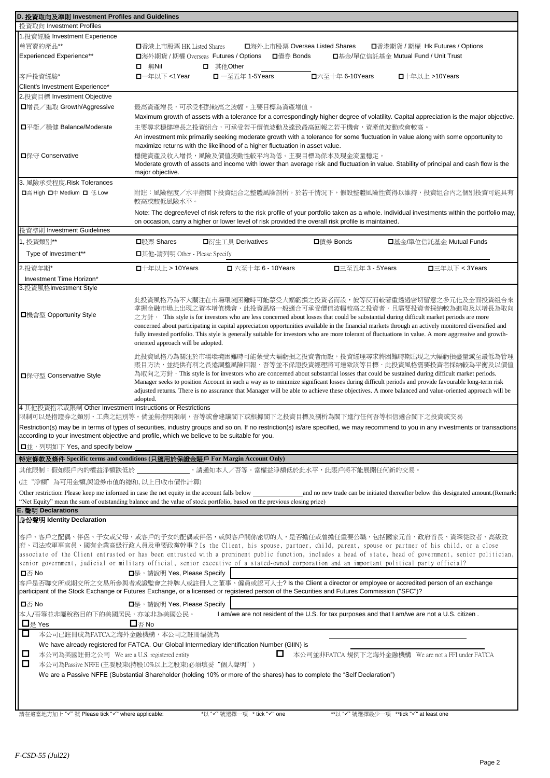| D. 投資取向及準則 Investment Profiles and Guidelines                                                                                                                                                                                                                                           |                                                                                                                                              |                                                                                                                                                                                                                                                       |                                                                                                |                                         |                                                                                     |  |
|-----------------------------------------------------------------------------------------------------------------------------------------------------------------------------------------------------------------------------------------------------------------------------------------|----------------------------------------------------------------------------------------------------------------------------------------------|-------------------------------------------------------------------------------------------------------------------------------------------------------------------------------------------------------------------------------------------------------|------------------------------------------------------------------------------------------------|-----------------------------------------|-------------------------------------------------------------------------------------|--|
| 投資取向 Investment Profiles                                                                                                                                                                                                                                                                |                                                                                                                                              |                                                                                                                                                                                                                                                       |                                                                                                |                                         |                                                                                     |  |
| 1. 投資經驗 Investment Experience<br>曾買賣的產品**                                                                                                                                                                                                                                               |                                                                                                                                              |                                                                                                                                                                                                                                                       |                                                                                                |                                         |                                                                                     |  |
| <b>Experienced Experience**</b>                                                                                                                                                                                                                                                         | <b>□</b> 海外上市股票 Oversea Listed Shares<br><b>■香港期貨 / 期權 Hk Futures / Options</b><br>■香港上市股票 HK Listed Shares                                  |                                                                                                                                                                                                                                                       |                                                                                                |                                         |                                                                                     |  |
|                                                                                                                                                                                                                                                                                         | <b>□</b> 海外期貨 / 期權 Overseas Futures / Options<br>■債券 Bonds<br><b>□</b> 基金/單位信託基金 Mutual Fund / Unit Trust<br>$\Box$ 無Nil<br><b>□</b> 其他Other |                                                                                                                                                                                                                                                       |                                                                                                |                                         |                                                                                     |  |
| 客戶投資經驗*                                                                                                                                                                                                                                                                                 | <b>□</b> 一年以下 <1Year                                                                                                                         | <b>□</b> 一至五年 1-5Years                                                                                                                                                                                                                                | □六至十年 6-10Years                                                                                |                                         | <b>□</b> 十年以上 >10Years                                                              |  |
| Client's Investment Experience*                                                                                                                                                                                                                                                         |                                                                                                                                              |                                                                                                                                                                                                                                                       |                                                                                                |                                         |                                                                                     |  |
| 2. 投資目標 Investment Objective                                                                                                                                                                                                                                                            |                                                                                                                                              |                                                                                                                                                                                                                                                       |                                                                                                |                                         |                                                                                     |  |
| □增長/進取 Growth/Aggressive                                                                                                                                                                                                                                                                |                                                                                                                                              | 最高資產增長,可承受相對較高之波幅。主要目標為資產增值。                                                                                                                                                                                                                          |                                                                                                |                                         |                                                                                     |  |
|                                                                                                                                                                                                                                                                                         |                                                                                                                                              | Maximum growth of assets with a tolerance for a correspondingly higher degree of volatility. Capital appreciation is the major objective.                                                                                                             |                                                                                                |                                         |                                                                                     |  |
| □平衡/穩健 Balance/Moderate                                                                                                                                                                                                                                                                 |                                                                                                                                              | 主要尋求穩健增長之投資組合,可承受若干價值波動及達致最高回報之若干機會,資產值波動或會較高。                                                                                                                                                                                                        |                                                                                                |                                         |                                                                                     |  |
|                                                                                                                                                                                                                                                                                         |                                                                                                                                              | An investment mix primarily seeking moderate growth with a tolerance for some fluctuation in value along with some opportunity to<br>maximize returns with the likelihood of a higher fluctuation in asset value.                                     |                                                                                                |                                         |                                                                                     |  |
| <b>□保守 Conservative</b>                                                                                                                                                                                                                                                                 |                                                                                                                                              | 穩健資產及收入增長,風險及價值波動性較平均為低。主要目標為保本及現金流量穩定。                                                                                                                                                                                                               |                                                                                                |                                         |                                                                                     |  |
|                                                                                                                                                                                                                                                                                         |                                                                                                                                              | Moderate growth of assets and income with lower than average risk and fluctuation in value. Stability of principal and cash flow is the                                                                                                               |                                                                                                |                                         |                                                                                     |  |
|                                                                                                                                                                                                                                                                                         | major objective.                                                                                                                             |                                                                                                                                                                                                                                                       |                                                                                                |                                         |                                                                                     |  |
| 3. 風險承受程度 Risk Tolerances                                                                                                                                                                                                                                                               |                                                                                                                                              |                                                                                                                                                                                                                                                       |                                                                                                |                                         |                                                                                     |  |
| <b>□高 High □中 Medium □ 低 Low</b>                                                                                                                                                                                                                                                        | 較高或較低風險水平。                                                                                                                                   | 附註:風險程度/水平指閣下投資組合之整體風險剖析。於若干情況下,假設整體風險性質得以維持,投資組合内之個別投資可能具有                                                                                                                                                                                           |                                                                                                |                                         |                                                                                     |  |
|                                                                                                                                                                                                                                                                                         |                                                                                                                                              |                                                                                                                                                                                                                                                       |                                                                                                |                                         |                                                                                     |  |
|                                                                                                                                                                                                                                                                                         |                                                                                                                                              | Note: The degree/level of risk refers to the risk profile of your portfolio taken as a whole. Individual investments within the portfolio may,<br>on occasion, carry a higher or lower level of risk provided the overall risk profile is maintained. |                                                                                                |                                         |                                                                                     |  |
| 投資準則 Investment Guidelines                                                                                                                                                                                                                                                              |                                                                                                                                              |                                                                                                                                                                                                                                                       |                                                                                                |                                         |                                                                                     |  |
| 1. 投資類別**                                                                                                                                                                                                                                                                               | <b>□</b> 股票 Shares                                                                                                                           | 口衍牛工具 Derivatives                                                                                                                                                                                                                                     | □債券 Bonds                                                                                      |                                         | □基金/單位信託基金 Mutual Funds                                                             |  |
| Type of Investment**                                                                                                                                                                                                                                                                    | <b>□</b> 其他-請列明 Other - Please Specify                                                                                                       |                                                                                                                                                                                                                                                       |                                                                                                |                                         |                                                                                     |  |
|                                                                                                                                                                                                                                                                                         |                                                                                                                                              |                                                                                                                                                                                                                                                       |                                                                                                |                                         |                                                                                     |  |
| 2.投資年期*                                                                                                                                                                                                                                                                                 | <b>□</b> 十年以上 > 10Years                                                                                                                      | <b>□</b> 六至十年 6 - 10Years                                                                                                                                                                                                                             | <b>□</b> 三至五年 3 - 5Years                                                                       |                                         | □三年以下 < 3Years                                                                      |  |
| Investment Time Horizon*<br>3.投資風格Investment Style                                                                                                                                                                                                                                      |                                                                                                                                              |                                                                                                                                                                                                                                                       |                                                                                                |                                         |                                                                                     |  |
|                                                                                                                                                                                                                                                                                         |                                                                                                                                              |                                                                                                                                                                                                                                                       |                                                                                                |                                         |                                                                                     |  |
|                                                                                                                                                                                                                                                                                         |                                                                                                                                              | 此投資風格乃為不大關注在市場環境困難時可能蒙受大幅虧損之投資者而設,彼等反而較著重透過密切留意之多元化及全面投資組合來<br>掌握金融市場上出現之資本增值機會・此投資風格一般適合可承受價值波幅較高之投資者・且需要投資者採納較為進取及以增長為取向                                                                                                                            |                                                                                                |                                         |                                                                                     |  |
| <b>□</b> 機會型 Opportunity Style                                                                                                                                                                                                                                                          |                                                                                                                                              | 之方針 · This style is for investors who are less concerned about losses that could be substantial during difficult market periods are more                                                                                                              |                                                                                                |                                         |                                                                                     |  |
|                                                                                                                                                                                                                                                                                         |                                                                                                                                              | concerned about participating in capital appreciation opportunities available in the financial markets through an actively monitored diversified and                                                                                                  |                                                                                                |                                         |                                                                                     |  |
|                                                                                                                                                                                                                                                                                         | oriented approach will be adopted.                                                                                                           | fully invested portfolio. This style is generally suitable for investors who are more tolerant of fluctuations in value. A more aggressive and growth-                                                                                                |                                                                                                |                                         |                                                                                     |  |
|                                                                                                                                                                                                                                                                                         |                                                                                                                                              |                                                                                                                                                                                                                                                       |                                                                                                |                                         |                                                                                     |  |
|                                                                                                                                                                                                                                                                                         |                                                                                                                                              | 此投資風格乃為關注於市場環境困難時可能蒙受大幅虧損之投資者而設,投資經理尋求將困難時期出現之大幅虧損盡量減至最低為管理<br>賬目方法,並提供有利之長遠調整風險回報・吾等並不保證投資經理將可達致該等目標・此投資風格需要投資者採納較為平衡及以價值                                                                                                                            |                                                                                                |                                         |                                                                                     |  |
| <b>□保守型 Conservative Style</b>                                                                                                                                                                                                                                                          |                                                                                                                                              | 為取向之方針 · This style is for investors who are concerned about substantial losses that could be sustained during difficult market periods.                                                                                                              |                                                                                                |                                         |                                                                                     |  |
|                                                                                                                                                                                                                                                                                         |                                                                                                                                              | Manager seeks to position Account in such a way as to minimize significant losses during difficult periods and provide favourable long-term risk                                                                                                      |                                                                                                |                                         |                                                                                     |  |
|                                                                                                                                                                                                                                                                                         | adopted.                                                                                                                                     | adjusted returns. There is no assurance that Manager will be able to achieve these objectives. A more balanced and value-oriented approach will be                                                                                                    |                                                                                                |                                         |                                                                                     |  |
| 4 其他投資指示或限制 Other Investment Instructions or Restrictions                                                                                                                                                                                                                               |                                                                                                                                              |                                                                                                                                                                                                                                                       |                                                                                                |                                         |                                                                                     |  |
| 限制可以是指證券之類別、工業之組別等。倘並無指明限制,吾等或會建議閣下或根據閣下之投資目標及剖析為閣下進行任何吾等相信適合閣下之投資或交易                                                                                                                                                                                                                   |                                                                                                                                              |                                                                                                                                                                                                                                                       |                                                                                                |                                         |                                                                                     |  |
| Restriction(s) may be in terms of types of securities, industry groups and so on. If no restriction(s) is/are specified, we may recommend to you in any investments or transactions                                                                                                     |                                                                                                                                              |                                                                                                                                                                                                                                                       |                                                                                                |                                         |                                                                                     |  |
| according to your investment objective and profile, which we believe to be suitable for you.                                                                                                                                                                                            |                                                                                                                                              |                                                                                                                                                                                                                                                       |                                                                                                |                                         |                                                                                     |  |
| <b>□</b> 並,列明如下 Yes, and specify below                                                                                                                                                                                                                                                  |                                                                                                                                              |                                                                                                                                                                                                                                                       |                                                                                                |                                         |                                                                                     |  |
| 特定條款及條件 Specific terms and conditions (只適用於保證金賬戶 For Margin Account Only)                                                                                                                                                                                                               |                                                                                                                                              |                                                                                                                                                                                                                                                       |                                                                                                |                                         |                                                                                     |  |
| 其他限制:假如賬戶內的權益淨額跌低於 _                                                                                                                                                                                                                                                                    |                                                                                                                                              | ,請通知本人/吾等。當權益淨額低於此水平,此賬戶將不能展開任何新的交易。                                                                                                                                                                                                                  |                                                                                                |                                         |                                                                                     |  |
| (註"淨額"為可用金額,與證券市值的總和,以上日收市價作計算)                                                                                                                                                                                                                                                         |                                                                                                                                              |                                                                                                                                                                                                                                                       |                                                                                                |                                         |                                                                                     |  |
| Other restriction: Please keep me informed in case the net equity in the account falls below                                                                                                                                                                                            |                                                                                                                                              |                                                                                                                                                                                                                                                       |                                                                                                |                                         | and no new trade can be initiated thereafter below this designated amount. (Remark: |  |
| "Net Equity" mean the sum of outstanding balance and the value of stock portfolio, based on the previous closing price)                                                                                                                                                                 |                                                                                                                                              |                                                                                                                                                                                                                                                       |                                                                                                |                                         |                                                                                     |  |
| E. 聲明 Declarations<br>身份聲明 Identity Declaration                                                                                                                                                                                                                                         |                                                                                                                                              |                                                                                                                                                                                                                                                       |                                                                                                |                                         |                                                                                     |  |
|                                                                                                                                                                                                                                                                                         |                                                                                                                                              |                                                                                                                                                                                                                                                       |                                                                                                |                                         |                                                                                     |  |
| 客戶、客戶之配偶、伴侶、子女或父母,或客戶的子女的配偶或伴侶,或與客戶關係密切的人,是否擔任或曾擔任重要公職,包括國家元首、政府首長、資深從政者、高級政                                                                                                                                                                                                            |                                                                                                                                              |                                                                                                                                                                                                                                                       |                                                                                                |                                         |                                                                                     |  |
| 府、司法或軍事官員、國有企業高級行政人員及重要政黨幹事?Is the Client, his spouse, partner, child, parent, spouse or partner of his child, or a close<br>associate of the Client entrusted or has been entrusted with a prominent public function, includes a head of state, head of government, senior politician, |                                                                                                                                              |                                                                                                                                                                                                                                                       |                                                                                                |                                         |                                                                                     |  |
| senior government, judicial or military official, senior executive of a stated-owned corporation and an important political party official?                                                                                                                                             |                                                                                                                                              |                                                                                                                                                                                                                                                       |                                                                                                |                                         |                                                                                     |  |
| <b>□</b> 否 No                                                                                                                                                                                                                                                                           | <b>□</b> 是, 請說明 Yes, Please Specify                                                                                                          |                                                                                                                                                                                                                                                       |                                                                                                |                                         |                                                                                     |  |
| 客戶是否聯交所或期交所之交易所参與者或證監會之持牌人或註冊人之董事、僱員或認可人士? Is the Client a director or employee or accredited person of an exchange                                                                                                                                                                     |                                                                                                                                              |                                                                                                                                                                                                                                                       |                                                                                                |                                         |                                                                                     |  |
| participant of the Stock Exchange or Futures Exchange, or a licensed or registered person of the Securities and Futures Commission ("SFC")?                                                                                                                                             |                                                                                                                                              |                                                                                                                                                                                                                                                       |                                                                                                |                                         |                                                                                     |  |
| <b>□</b> 否 No                                                                                                                                                                                                                                                                           | <b>□</b> 是,請說明 Yes, Please Specify                                                                                                           |                                                                                                                                                                                                                                                       |                                                                                                |                                         |                                                                                     |  |
| 本人/吾等並非屬稅務目的下的美國居民,亦並非為美國公民。                                                                                                                                                                                                                                                            |                                                                                                                                              |                                                                                                                                                                                                                                                       | I am/we are not resident of the U.S. for tax purposes and that I am/we are not a U.S. citizen. |                                         |                                                                                     |  |
| $\Box$ $\gtrsim$ Yes                                                                                                                                                                                                                                                                    | $\square$ $\overline{\otimes}$ No                                                                                                            |                                                                                                                                                                                                                                                       |                                                                                                |                                         |                                                                                     |  |
| ◻<br>本公司已註冊成為FATCA之海外金融機構,本公司之註冊編號為                                                                                                                                                                                                                                                     |                                                                                                                                              |                                                                                                                                                                                                                                                       |                                                                                                |                                         |                                                                                     |  |
| We have already registered for FATCA. Our Global Intermediary Identification Number (GIIN) is                                                                                                                                                                                           |                                                                                                                                              |                                                                                                                                                                                                                                                       |                                                                                                |                                         |                                                                                     |  |
| $\Box$<br>⊔<br>本公司並非FATCA 規例下之海外金融機構 We are not a FFI under FATCA<br>本公司為美國註冊之公司 We are a U.S. registered entity<br>□                                                                                                                                                                   |                                                                                                                                              |                                                                                                                                                                                                                                                       |                                                                                                |                                         |                                                                                     |  |
| 本公司為Passive NFFE (主要股東(持股10%以上之股東)必須填妥"個人聲明")<br>We are a Passive NFFE (Substantial Shareholder (holding 10% or more of the shares) has to complete the "Self Declaration")                                                                                                             |                                                                                                                                              |                                                                                                                                                                                                                                                       |                                                                                                |                                         |                                                                                     |  |
|                                                                                                                                                                                                                                                                                         |                                                                                                                                              |                                                                                                                                                                                                                                                       |                                                                                                |                                         |                                                                                     |  |
|                                                                                                                                                                                                                                                                                         |                                                                                                                                              |                                                                                                                                                                                                                                                       |                                                                                                |                                         |                                                                                     |  |
|                                                                                                                                                                                                                                                                                         |                                                                                                                                              |                                                                                                                                                                                                                                                       |                                                                                                |                                         |                                                                                     |  |
| 請在適當地方加上"√"號 Please tick "√" where applicable:                                                                                                                                                                                                                                          |                                                                                                                                              | *以 "✓" 號選擇一項 * tick "✓" one                                                                                                                                                                                                                           |                                                                                                | **以 "√" 號選擇最少一項 **tick "√" at least one |                                                                                     |  |